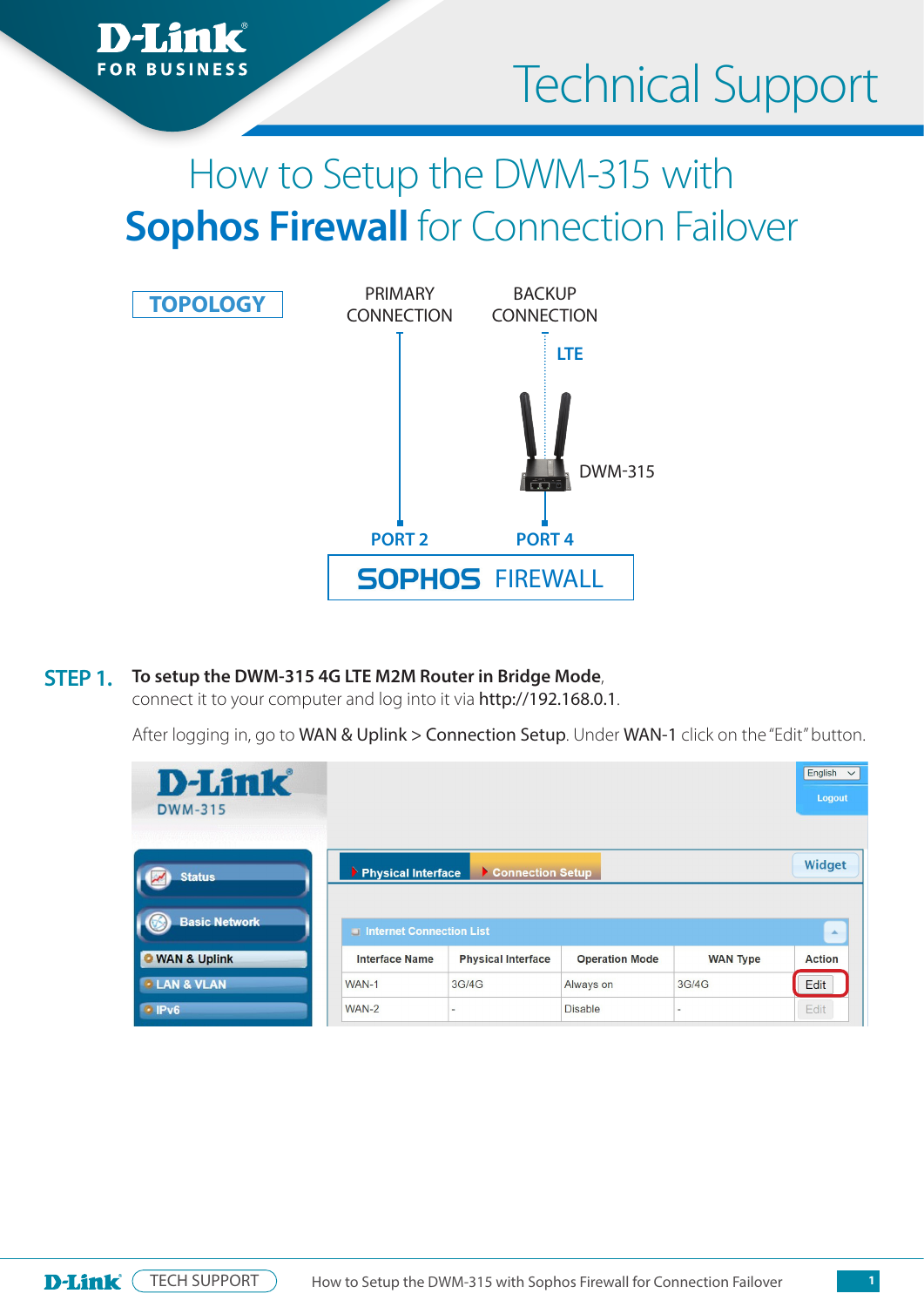

# Technical Support

## How to Setup the DWM-315 with **Sophos Firewall** for Connection Failover



#### **To setup the DWM-315 4G LTE M2M Router in Bridge Mode**, **STEP 1.**

connect it to your computer and log into it via http://192.168.0.1.

After logging in, go to WAN & Uplink > Connection Setup. Under WAN-1 click on the "Edit" button.

| <b>D-Link</b><br><b>DWM-315</b> |                          |                           |                       |                          | English<br>$\checkmark$<br>Logout |
|---------------------------------|--------------------------|---------------------------|-----------------------|--------------------------|-----------------------------------|
| <b>Status</b>                   | Physical Interface       | Connection Setup          |                       |                          | Widget                            |
| <b>Basic Network</b>            | Internet Connection List |                           |                       |                          | A.                                |
| <b>O</b> WAN & Uplink           | <b>Interface Name</b>    | <b>Physical Interface</b> | <b>Operation Mode</b> | <b>WAN Type</b>          | <b>Action</b>                     |
| <b>LAN &amp; VLAN</b>           | WAN-1                    | 3G/4G                     | Always on             | 3G/4G                    | Edit                              |
| IPv6                            | WAN-2                    | $\overline{\phantom{a}}$  | <b>Disable</b>        | $\overline{\phantom{a}}$ | Edit                              |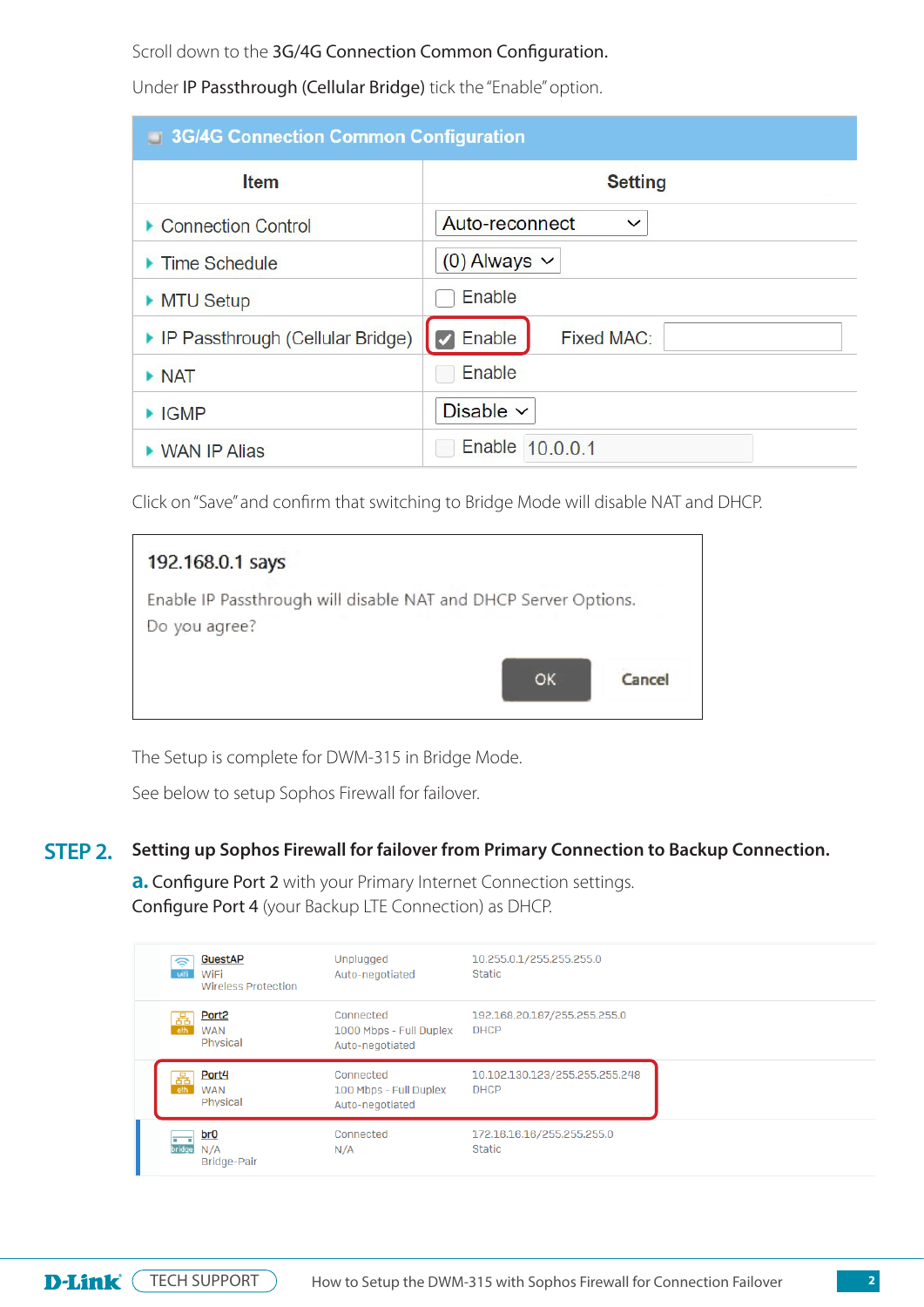Scroll down to the 3G/4G Connection Common Configuration.

Under IP Passthrough (Cellular Bridge) tick the "Enable" option.

| <b>3G/4G Connection Common Configuration</b> |                                |  |  |  |  |  |
|----------------------------------------------|--------------------------------|--|--|--|--|--|
| <b>Item</b>                                  | <b>Setting</b>                 |  |  |  |  |  |
| Connection Control                           | Auto-reconnect<br>$\checkmark$ |  |  |  |  |  |
| ▶ Time Schedule                              | $(0)$ Always $\vee$            |  |  |  |  |  |
| MTU Setup                                    | Enable                         |  |  |  |  |  |
| ▶ IP Passthrough (Cellular Bridge)           | $\vee$ Enable<br>Fixed MAC:    |  |  |  |  |  |
| $\triangleright$ NAT                         | Enable                         |  |  |  |  |  |
| $\blacktriangleright$ IGMP                   | Disable $\vee$                 |  |  |  |  |  |
| ▶ WAN IP Alias                               | Enable 10.0.0.1                |  |  |  |  |  |

Click on "Save" and confirm that switching to Bridge Mode will disable NAT and DHCP.

| 192.168.0.1 says                                                                 |     |        |
|----------------------------------------------------------------------------------|-----|--------|
| Enable IP Passthrough will disable NAT and DHCP Server Options.<br>Do you agree? |     |        |
|                                                                                  | OK. | Cancel |

The Setup is complete for DWM-315 in Bridge Mode.

See below to setup Sophos Firewall for failover.

#### **Setting up Sophos Firewall for failover from Primary Connection to Backup Connection. STEP 2.**

**a. Configure Port 2** with your Primary Internet Connection settings. Configure Port 4 (your Backup LTE Connection) as DHCP.

| ⊜<br>wifi | <b>GuestAP</b><br>WiFi<br><b>Wireless Protection</b> | Unplugged<br>Auto-negotiated                            | 10.255.0.1/255.255.255.0<br><b>Static</b>     |  |
|-----------|------------------------------------------------------|---------------------------------------------------------|-----------------------------------------------|--|
| 굚<br>eth  | Port <sub>2</sub><br><b>WAN</b><br>Physical          | Connected<br>1000 Mbps - Full Duplex<br>Auto-negotiated | 192.168.20.187/255.255.255.0<br><b>DHCP</b>   |  |
| 풂         | Port4<br><b>WAN</b>                                  | Connected<br>100 Mbps - Full Duplex                     | 10.102.130.123/255.255.255.248<br><b>DHCP</b> |  |
|           | Physical                                             | Auto-negotiated                                         |                                               |  |